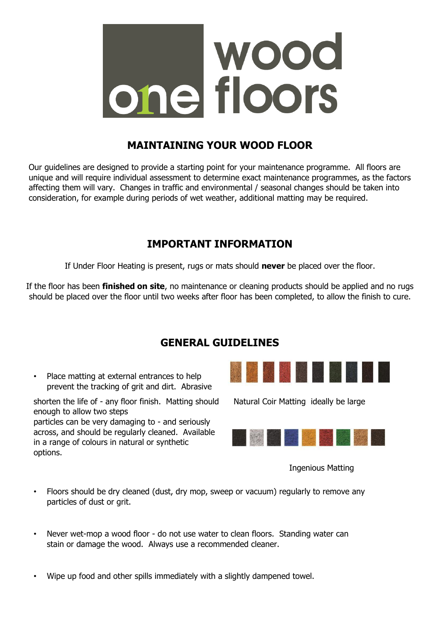

## **MAINTAINING YOUR WOOD FLOOR**

Our guidelines are designed to provide a starting point for your maintenance programme. All floors are unique and will require individual assessment to determine exact maintenance programmes, as the factors affecting them will vary. Changes in traffic and environmental / seasonal changes should be taken into consideration, for example during periods of wet weather, additional matting may be required.

# **IMPORTANT INFORMATION**

If Under Floor Heating is present, rugs or mats should **never** be placed over the floor.

If the floor has been **finished on site**, no maintenance or cleaning products should be applied and no rugs should be placed over the floor until two weeks after floor has been completed, to allow the finish to cure.

## **GENERAL GUIDELINES**

• Place matting at external entrances to help prevent the tracking of grit and dirt. Abrasive

shorten the life of - any floor finish. Matting should Natural Coir Matting ideally be large enough to allow two steps particles can be very damaging to - and seriously across, and should be regularly cleaned. Available in a range of colours in natural or synthetic options.





Ingenious Matting

- Floors should be dry cleaned (dust, dry mop, sweep or vacuum) regularly to remove any particles of dust or grit.
- Never wet-mop a wood floor do not use water to clean floors. Standing water can stain or damage the wood. Always use a recommended cleaner.
- Wipe up food and other spills immediately with a slightly dampened towel.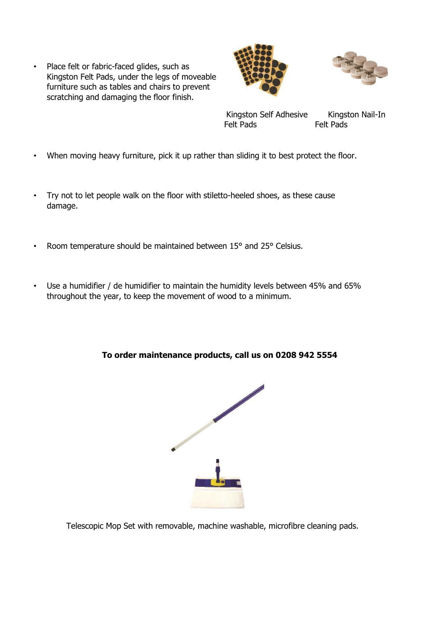• Place felt or fabric-faced glides, such as Kingston Felt Pads, under the legs of moveable furniture such as tables and chairs to prevent scratching and damaging the floor finish.





Kingston Self Adhesive Kingston Nail-In Felt Pads Felt Pads

- When moving heavy furniture, pick it up rather than sliding it to best protect the floor.
- Try not to let people walk on the floor with stiletto-heeled shoes, as these cause damage.
- Room temperature should be maintained between 15° and 25° Celsius.
- Use a humidifier / de humidifier to maintain the humidity levels between 45% and 65% throughout the year, to keep the movement of wood to a minimum.

#### **To order maintenance products, call us on 0208 942 5554**



Telescopic Mop Set with removable, machine washable, microfibre cleaning pads.